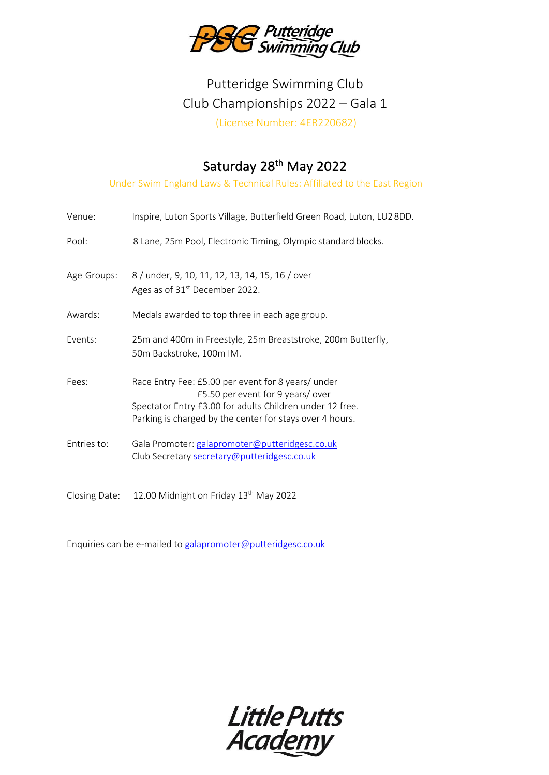

# Putteridge Swimming Club Club Championships 2022 – Gala 1 (License Number: 4ER220682)

### Saturday 28<sup>th</sup> May 2022

Under Swim England Laws & Technical Rules: Affiliated to the East Region

| Venue:      | Inspire, Luton Sports Village, Butterfield Green Road, Luton, LU28DD.                                                                                                                                          |
|-------------|----------------------------------------------------------------------------------------------------------------------------------------------------------------------------------------------------------------|
| Pool:       | 8 Lane, 25m Pool, Electronic Timing, Olympic standard blocks.                                                                                                                                                  |
| Age Groups: | 8 / under, 9, 10, 11, 12, 13, 14, 15, 16 / over<br>Ages as of 31 <sup>st</sup> December 2022.                                                                                                                  |
| Awards:     | Medals awarded to top three in each age group.                                                                                                                                                                 |
| Events:     | 25m and 400m in Freestyle, 25m Breaststroke, 200m Butterfly,<br>50m Backstroke, 100m IM.                                                                                                                       |
| Fees:       | Race Entry Fee: £5.00 per event for 8 years/ under<br>£5.50 per event for 9 years/over<br>Spectator Entry £3.00 for adults Children under 12 free.<br>Parking is charged by the center for stays over 4 hours. |
| Entries to: | Gala Promoter: galapromoter@putteridgesc.co.uk<br>Club Secretary secretary@putteridgesc.co.uk                                                                                                                  |

Closing Date: 12.00 Midnight on Friday 13<sup>th</sup> May 2022

Enquiries can be e-mailed t[o galapromoter@putteridgesc.co.uk](mailto:galapromoter@putteridgesc.co.uk)

Little Putts<br>Academy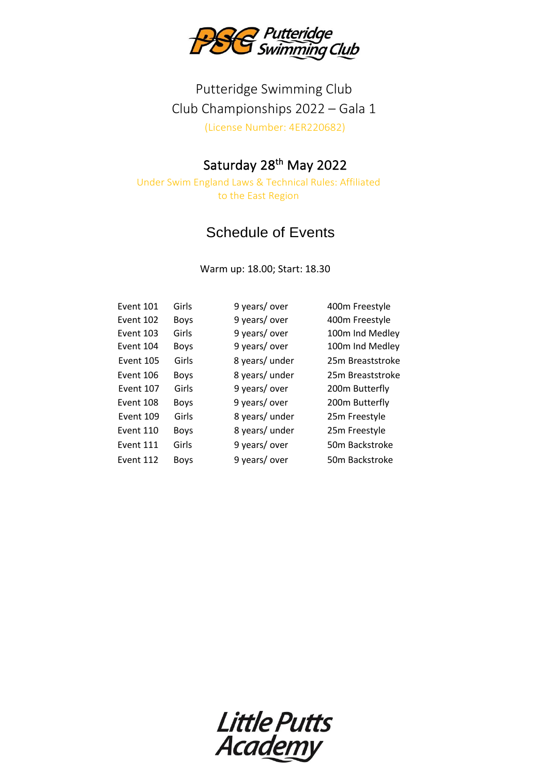

## Putteridge Swimming Club Club Championships 2022 – Gala 1 (License Number: 4ER220682)

#### Saturday 28<sup>th</sup> May 2022

Under Swim England Laws & Technical Rules: Affiliated to the East Region

### Schedule of Events

Warm up: 18.00; Start: 18.30

| Event 101        | Girls       | 9 years/over   | 400m Freestyle   |
|------------------|-------------|----------------|------------------|
| Event 102        | <b>Boys</b> | 9 years/over   | 400m Freestyle   |
| Event 103        | Girls       | 9 years/over   | 100m Ind Medley  |
| Event 104        | <b>Boys</b> | 9 years/over   | 100m Ind Medley  |
| <b>Event 105</b> | Girls       | 8 years/ under | 25m Breaststroke |
| Event 106        | <b>Boys</b> | 8 years/ under | 25m Breaststroke |
| Event 107        | Girls       | 9 years/over   | 200m Butterfly   |
| Event 108        | <b>Boys</b> | 9 years/over   | 200m Butterfly   |
| Event 109        | Girls       | 8 years/ under | 25m Freestyle    |
| Event 110        | <b>Boys</b> | 8 years/ under | 25m Freestyle    |
| Event 111        | Girls       | 9 years/over   | 50m Backstroke   |
| Event 112        | <b>Boys</b> | 9 years/over   | 50m Backstroke   |

Little Putts<br>Academy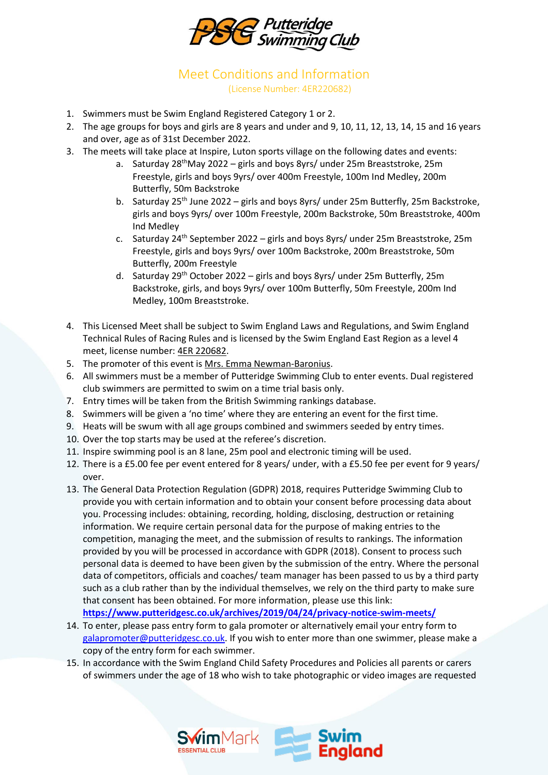

Meet Conditions and Information (License Number: 4ER220682)

- 1. Swimmers must be Swim England Registered Category 1 or 2.
- 2. The age groups for boys and girls are 8 years and under and 9, 10, 11, 12, 13, 14, 15 and 16 years and over, age as of 31st December 2022.
- 3. The meets will take place at Inspire, Luton sports village on the following dates and events:
	- a. Saturday  $28^{th}$ May 2022 girls and boys 8yrs/ under 25m Breaststroke, 25m Freestyle, girls and boys 9yrs/ over 400m Freestyle, 100m Ind Medley, 200m Butterfly, 50m Backstroke
	- b. Saturday 25<sup>th</sup> June 2022 girls and boys 8yrs/ under 25m Butterfly, 25m Backstroke, girls and boys 9yrs/ over 100m Freestyle, 200m Backstroke, 50m Breaststroke, 400m Ind Medley
	- c. Saturday 24<sup>th</sup> September 2022 girls and boys 8yrs/ under 25m Breaststroke, 25m Freestyle, girls and boys 9yrs/ over 100m Backstroke, 200m Breaststroke, 50m Butterfly, 200m Freestyle
	- d. Saturday 29<sup>th</sup> October 2022 girls and boys 8yrs/ under 25m Butterfly, 25m Backstroke, girls, and boys 9yrs/ over 100m Butterfly, 50m Freestyle, 200m Ind Medley, 100m Breaststroke.
- 4. This Licensed Meet shall be subject to Swim England Laws and Regulations, and Swim England Technical Rules of Racing Rules and is licensed by the Swim England East Region as a level 4 meet, license number: 4ER 220682.
- 5. The promoter of this event is Mrs. Emma Newman-Baronius.
- 6. All swimmers must be a member of Putteridge Swimming Club to enter events. Dual registered club swimmers are permitted to swim on a time trial basis only.
- 7. Entry times will be taken from the British Swimming rankings database.
- 8. Swimmers will be given a 'no time' where they are entering an event for the first time.
- 9. Heats will be swum with all age groups combined and swimmers seeded by entry times.
- 10. Over the top starts may be used at the referee's discretion.
- 11. Inspire swimming pool is an 8 lane, 25m pool and electronic timing will be used.
- 12. There is a £5.00 fee per event entered for 8 years/ under, with a £5.50 fee per event for 9 years/ over.
- 13. The General Data Protection Regulation (GDPR) 2018, requires Putteridge Swimming Club to provide you with certain information and to obtain your consent before processing data about you. Processing includes: obtaining, recording, holding, disclosing, destruction or retaining information. We require certain personal data for the purpose of making entries to the competition, managing the meet, and the submission of results to rankings. The information provided by you will be processed in accordance with GDPR (2018). Consent to process such personal data is deemed to have been given by the submission of the entry. Where the personal data of competitors, officials and coaches/ team manager has been passed to us by a third party such as a club rather than by the individual themselves, we rely on the third party to make sure that consent has been obtained. For more information, please use this link: **<https://www.putteridgesc.co.uk/archives/2019/04/24/privacy-notice-swim-meets/>**
- 14. To enter, please pass entry form to gala promoter or alternatively email your entry form to [galapromoter@putteridgesc.co.uk.](mailto:galapromoter@putteridgesc.co.uk) If you wish to enter more than one swimmer, please make a copy of the entry form for each swimmer.
- 15. In accordance with the Swim England Child Safety Procedures and Policies all parents or carers of swimmers under the age of 18 who wish to take photographic or video images are requested

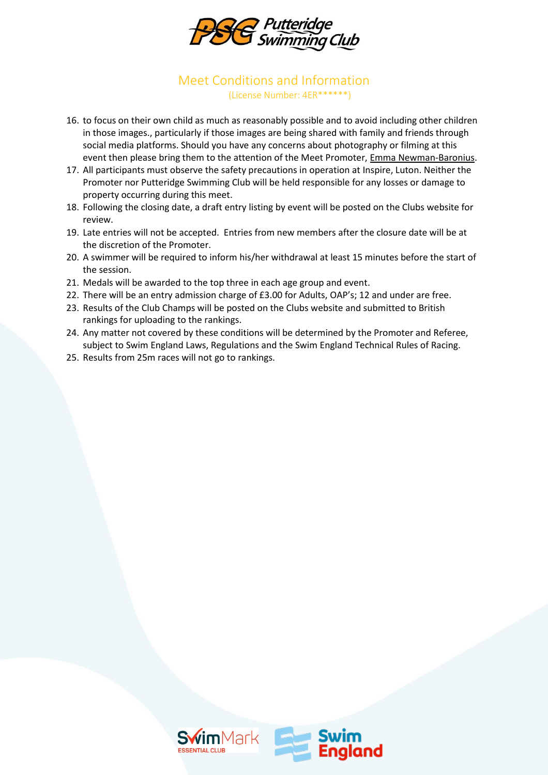

#### Meet Conditions and Information (License Number: 4ER\*\*\*\*\*\*)

- 16. to focus on their own child as much as reasonably possible and to avoid including other children in those images., particularly if those images are being shared with family and friends through social media platforms. Should you have any concerns about photography or filming at this event then please bring them to the attention of the Meet Promoter, Emma Newman-Baronius.
- 17. All participants must observe the safety precautions in operation at Inspire, Luton. Neither the Promoter nor Putteridge Swimming Club will be held responsible for any losses or damage to property occurring during this meet.
- 18. Following the closing date, a draft entry listing by event will be posted on the Clubs website for review.
- 19. Late entries will not be accepted. Entries from new members after the closure date will be at the discretion of the Promoter.
- 20. A swimmer will be required to inform his/her withdrawal at least 15 minutes before the start of the session.
- 21. Medals will be awarded to the top three in each age group and event.
- 22. There will be an entry admission charge of £3.00 for Adults, OAP's; 12 and under are free.
- 23. Results of the Club Champs will be posted on the Clubs website and submitted to British rankings for uploading to the rankings.
- 24. Any matter not covered by these conditions will be determined by the Promoter and Referee, subject to Swim England Laws, Regulations and the Swim England Technical Rules of Racing.
- 25. Results from 25m races will not go to rankings.